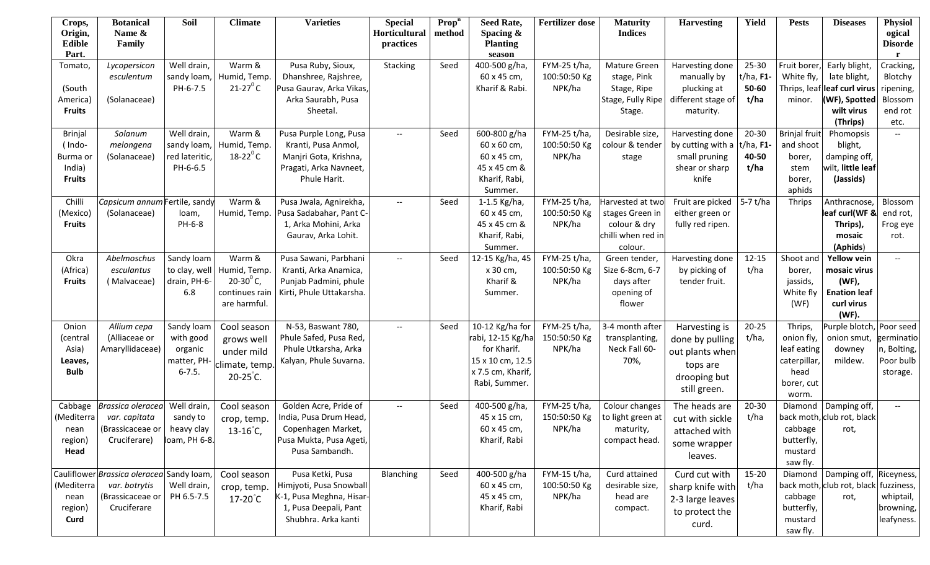| Crops,           | <b>Botanical</b>                                 | Soil               | <b>Climate</b>               | <b>Varieties</b>         | <b>Special</b>           | $Propn$ | <b>Seed Rate,</b>       | <b>Fertilizer dose</b> | <b>Maturity</b>    | <b>Harvesting</b>  | Yield        | <b>Pests</b>        | <b>Diseases</b>                       | <b>Physiol</b>           |
|------------------|--------------------------------------------------|--------------------|------------------------------|--------------------------|--------------------------|---------|-------------------------|------------------------|--------------------|--------------------|--------------|---------------------|---------------------------------------|--------------------------|
| Origin,          | Name &                                           |                    |                              |                          | Horticultural            | method  | Spacing $\&$            |                        | <b>Indices</b>     |                    |              |                     |                                       | ogical                   |
| Edible           | Family                                           |                    |                              |                          | practices                |         | <b>Planting</b>         |                        |                    |                    |              |                     |                                       | <b>Disorde</b>           |
| Part.<br>Tomato, | Lycopersicon                                     | Well drain,        | Warm &                       | Pusa Ruby, Sioux,        | Stacking                 | Seed    | season<br>400-500 g/ha, | FYM-25 t/ha,           | Mature Green       | Harvesting done    | 25-30        | Fruit borer         | Early blight,                         | r<br>Cracking,           |
|                  | esculentum                                       | sandy loam,        | Humid, Temp.                 | Dhanshree, Rajshree,     |                          |         | 60 x 45 cm,             | 100:50:50 Kg           | stage, Pink        | manually by        | $t/ha$ , F1- | White fly,          | late blight,                          | Blotchy                  |
| (South           |                                                  | PH-6-7.5           | $21 - 27$ <sup>0</sup> C     | Pusa Gaurav, Arka Vikas, |                          |         | Kharif & Rabi.          | NPK/ha                 | Stage, Ripe        | plucking at        | 50-60        |                     | Thrips, leaf leaf curl virus          | ripening,                |
| America)         | (Solanaceae)                                     |                    |                              | Arka Saurabh, Pusa       |                          |         |                         |                        | Stage, Fully Ripe  | different stage of | t/ha         | minor.              | (WF), Spotted                         | Blossom                  |
| <b>Fruits</b>    |                                                  |                    |                              | Sheetal.                 |                          |         |                         |                        | Stage.             | maturity.          |              |                     | wilt virus                            | end rot                  |
|                  |                                                  |                    |                              |                          |                          |         |                         |                        |                    |                    |              |                     | (Thrips)                              | etc.                     |
| <b>Brinjal</b>   | Solanum                                          | Well drain,        | Warm &                       | Pusa Purple Long, Pusa   | $-$                      | Seed    | 600-800 g/ha            | FYM-25 t/ha,           | Desirable size,    | Harvesting done    | 20-30        | <b>Brinjal frui</b> | Phomopsis                             |                          |
| (Indo-           | melongena                                        | sandy loam,        | Humid, Temp.                 | Kranti, Pusa Anmol,      |                          |         | 60 x 60 cm,             | 100:50:50 Kg           | colour & tender    | by cutting with a  | t/ha, F1     | and shoot           | blight,                               |                          |
| Burma or         | (Solanaceae)                                     | red lateritic,     | 18-22 $^{\circ}$ C           | Manjri Gota, Krishna,    |                          |         | 60 x 45 cm,             | NPK/ha                 | stage              | small pruning      | 40-50        | borer,              | damping off,                          |                          |
| India)           |                                                  | PH-6-6.5           |                              | Pragati, Arka Navneet,   |                          |         | 45 x 45 cm &            |                        |                    | shear or sharp     | t/ha         | stem                | wilt, little leaf                     |                          |
| <b>Fruits</b>    |                                                  |                    |                              | Phule Harit.             |                          |         | Kharif, Rabi,           |                        |                    | knife              |              | borer,              | (Jassids)                             |                          |
|                  |                                                  |                    |                              |                          |                          |         | Summer.                 |                        |                    |                    |              | aphids              |                                       |                          |
| Chilli           | Capsicum annum Fertile, sandy                    |                    | Warm &                       | Pusa Jwala, Agnirekha,   | $ -$                     | Seed    | 1-1.5 Kg/ha,            | FYM-25 t/ha,           | larvested at two   | Fruit are picked   | 5-7 t/ha     | Thrips              | Anthracnose,                          | Blossom                  |
| (Mexico)         | (Solanaceae)                                     | loam,              | Humid, Temp.                 | Pusa Sadabahar, Pant C-  |                          |         | 60 x 45 cm,             | 100:50:50 Kg           | stages Green in    | either green or    |              |                     | leaf curl(WF &                        | end rot,                 |
| <b>Fruits</b>    |                                                  | PH-6-8             |                              | 1, Arka Mohini, Arka     |                          |         | 45 x 45 cm &            | NPK/ha                 | colour & dry       | fully red ripen.   |              |                     | Thrips),                              | Frog eye                 |
|                  |                                                  |                    |                              | Gaurav, Arka Lohit.      |                          |         | Kharif, Rabi,           |                        | chilli when red in |                    |              |                     | mosaic                                | rot.                     |
|                  |                                                  |                    |                              |                          |                          |         | Summer.                 |                        | colour.            |                    |              |                     | (Aphids)                              |                          |
| Okra             | Abelmoschus                                      | Sandy loam         | Warm &                       | Pusa Sawani, Parbhani    | $ -$                     | Seed    | 12-15 Kg/ha, 45         | FYM-25 t/ha,           | Green tender,      | Harvesting done    | $12 - 15$    | Shoot and           | <b>Yellow vein</b>                    | $\overline{\phantom{a}}$ |
| (Africa)         | esculantus                                       |                    | to clay, well   Humid, Temp. | Kranti, Arka Anamica,    |                          |         | x 30 cm,                | 100:50:50 Kg           | Size 6-8cm, 6-7    | by picking of      | t/ha         | borer,              | mosaic virus                          |                          |
| <b>Fruits</b>    | (Malvaceae)                                      | drain, PH-6-       | 20-30 $^{\circ}$ C,          | Punjab Padmini, phule    |                          |         | Kharif &                | NPK/ha                 | days after         | tender fruit.      |              | jassids,            | (WF),                                 |                          |
|                  |                                                  | 6.8                | continues rain               | Kirti, Phule Uttakarsha. |                          |         | Summer.                 |                        | opening of         |                    |              | White fly           | <b>Enation leaf</b>                   |                          |
|                  |                                                  |                    | are harmful.                 |                          |                          |         |                         |                        | flower             |                    |              | (WF)                | curl virus                            |                          |
| Onion            | Allium cepa                                      | Sandy loam         |                              | N-53, Baswant 780,       | $-$                      | Seed    | 10-12 Kg/ha for         | FYM-25 t/ha,           | 3-4 month after    |                    | $20 - 25$    | Thrips,             | (WF).<br>Purple blotch, Poor seed     |                          |
| (central         | (Alliaceae or                                    | with good          | Cool season                  | Phule Safed, Pusa Red,   |                          |         | rabi, 12-15 Kg/ha       | 150:50:50 Kg           | transplanting,     | Harvesting is      | t/ha,        | onion fly,          | onion smut,                           | germinatio               |
| Asia)            | Amaryllidaceae)                                  | organic            | grows well                   | Phule Utkarsha, Arka     |                          |         | for Kharif.             | NPK/ha                 | Neck Fall 60-      | done by pulling    |              | leaf eating         | downey                                | n, Bolting,              |
| Leaves,          |                                                  | matter, PH-        | under mild                   | Kalyan, Phule Suvarna.   |                          |         | 15 x 10 cm, 12.5        |                        | 70%,               | out plants when    |              | caterpillar         | mildew.                               | Poor bulb                |
| <b>Bulb</b>      |                                                  | $6 - 7.5.$         | climate, temp.               |                          |                          |         | x 7.5 cm, Kharif,       |                        |                    | tops are           |              | head                |                                       | storage.                 |
|                  |                                                  |                    | $20 - 25^{\circ}C$ .         |                          |                          |         | Rabi, Summer.           |                        |                    | drooping but       |              | borer, cut          |                                       |                          |
|                  |                                                  |                    |                              |                          |                          |         |                         |                        |                    | still green.       |              | worm.               |                                       |                          |
| Cabbage          | Brassica oleracea                                | Well drain,        | Cool season                  | Golden Acre, Pride of    | $\overline{\phantom{a}}$ | Seed    | 400-500 g/ha,           | FYM-25 t/ha,           | Colour changes     | The heads are      | 20-30        | Diamond             | Damping off,                          | $- -$                    |
| (Mediterra       | var. capitata                                    | sandy to           | crop, temp.                  | India, Pusa Drum Head,   |                          |         | 45 x 15 cm,             | 150:50:50 Kg           | to light green at  | cut with sickle    | t/ha         |                     | back moth, club rot, black            |                          |
| nean             | (Brassicaceae or                                 | heavy clay $\vert$ | $13-16^{\circ}$ C,           | Copenhagen Market,       |                          |         | 60 x 45 cm,             | NPK/ha                 | maturity,          | attached with      |              | cabbage             | rot,                                  |                          |
| region)          | Cruciferare) loam, PH 6-8.                       |                    |                              | Pusa Mukta, Pusa Ageti,  |                          |         | Kharif, Rabi            |                        | compact head.      | some wrapper       |              | butterfly,          |                                       |                          |
| Head             |                                                  |                    |                              | Pusa Sambandh.           |                          |         |                         |                        |                    | leaves.            |              | mustard             |                                       |                          |
|                  |                                                  |                    |                              |                          |                          |         |                         |                        |                    |                    |              | saw fly.            |                                       |                          |
|                  | Cauliflower <i>Brassica oleracea</i> Sandy Ioam, |                    | Cool season                  | Pusa Ketki, Pusa         | Blanching                | Seed    | 400-500 g/ha            | FYM-15 t/ha,           | Curd attained      | Curd cut with      | 15-20        | Diamond             | Damping off, Riceyness,               |                          |
| (Mediterra       | var. botrytis                                    | Well drain,        | crop, temp.                  | Himjyoti, Pusa Snowball  |                          |         | 60 x 45 cm,             | 100:50:50 Kg           | desirable size,    | sharp knife with   | t/ha         |                     | back moth, club rot, black fuzziness, |                          |
| nean             | (Brassicaceae or                                 | PH 6.5-7.5         | $17-20^{\circ}$ C            | K-1, Pusa Meghna, Hisar- |                          |         | 45 x 45 cm,             | NPK/ha                 | head are           | 2-3 large leaves   |              | cabbage             | rot,                                  | whiptail,                |
| region)          | Cruciferare                                      |                    |                              | 1, Pusa Deepali, Pant    |                          |         | Kharif, Rabi            |                        | compact.           | to protect the     |              | butterfly,          |                                       | browning,                |
| Curd             |                                                  |                    |                              | Shubhra. Arka kanti      |                          |         |                         |                        |                    | curd.              |              | mustard             |                                       | leafyness.               |
|                  |                                                  |                    |                              |                          |                          |         |                         |                        |                    |                    |              | saw fly.            |                                       |                          |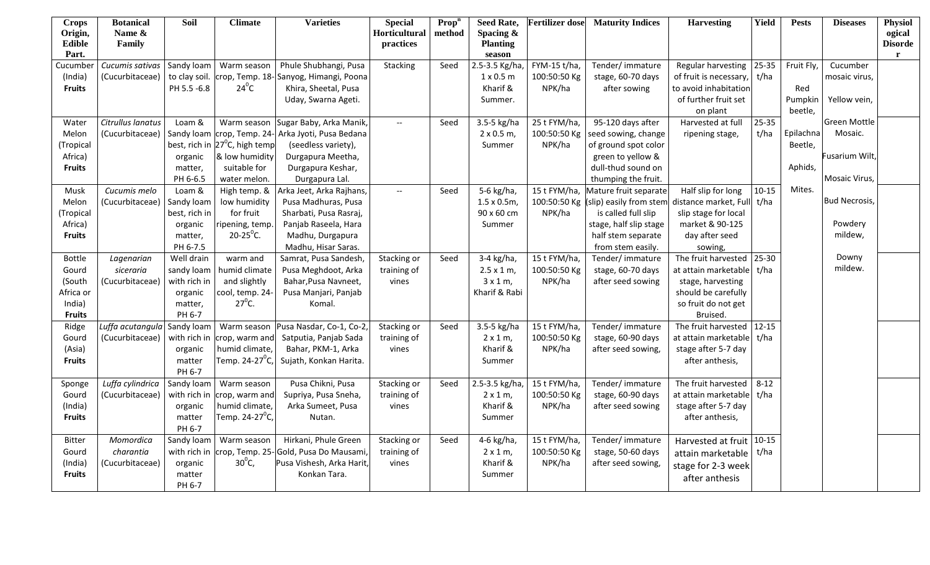| <b>Crops</b>            | <b>Botanical</b>                               | Soil                       | <b>Climate</b>                                                        | <b>Varieties</b>                              | <b>Special</b>           | $\mathbf{Prop}^n$ | <b>Seed Rate,</b>                 | <b>Fertilizer dose</b> | <b>Maturity Indices</b>                                     | <b>Harvesting</b>                             | <b>Yield</b> | <b>Pests</b> | <b>Diseases</b>      | <b>Physiol</b> |
|-------------------------|------------------------------------------------|----------------------------|-----------------------------------------------------------------------|-----------------------------------------------|--------------------------|-------------------|-----------------------------------|------------------------|-------------------------------------------------------------|-----------------------------------------------|--------------|--------------|----------------------|----------------|
| Origin,                 | Name &                                         |                            |                                                                       |                                               | Horticultural            | method            | Spacing $\&$                      |                        |                                                             |                                               |              |              |                      | ogical         |
| Edible                  | Family                                         |                            |                                                                       |                                               | practices                |                   | <b>Planting</b>                   |                        |                                                             |                                               |              |              |                      | <b>Disorde</b> |
| Part.                   |                                                |                            |                                                                       |                                               |                          |                   | season                            |                        |                                                             |                                               |              |              |                      | r              |
| Cucumber                | Cucumis sativas                                | Sandy loam                 | Warm season                                                           | Phule Shubhangi, Pusa                         | Stacking                 | Seed              | 2.5-3.5 Kg/ha,                    | FYM-15 t/ha,           | Tender/immature                                             | Regular harvesting                            | $25 - 35$    | Fruit Fly,   | Cucumber             |                |
| (India)                 | (Cucurbitaceae)                                | to clay soil.              | crop, Temp. 18-                                                       | Sanyog, Himangi, Poona                        |                          |                   | $1 \times 0.5$ m                  | 100:50:50 Kg           | stage, 60-70 days                                           | of fruit is necessary,                        | t/ha         |              | mosaic virus,        |                |
| <b>Fruits</b>           |                                                | PH 5.5 -6.8                | $24^{\circ}$ C                                                        | Khira, Sheetal, Pusa                          |                          |                   | Kharif &                          | NPK/ha                 | after sowing                                                | to avoid inhabitation                         |              | Red          |                      |                |
|                         |                                                |                            |                                                                       | Uday, Swarna Ageti.                           |                          |                   | Summer.                           |                        |                                                             | of further fruit set                          |              | Pumpkin      | Yellow vein,         |                |
|                         | Citrullus lanatus                              | Loam &                     |                                                                       |                                               |                          |                   |                                   | 25 t FYM/ha,           |                                                             | on plant<br>Harvested at full                 | $25 - 35$    | beetle,      | <b>Green Mottle</b>  |                |
| Water                   | (Cucurbitaceae)                                |                            | Warm season                                                           | Sugar Baby, Arka Manik,                       | $\overline{\phantom{a}}$ | Seed              | 3.5-5 kg/ha<br>$2 \times 0.5$ m,  |                        | 95-120 days after                                           |                                               | t/ha         | Epilachna    | Mosaic.              |                |
| Melon                   |                                                |                            | Sandy loam crop, Temp. 24-<br>best, rich in $27^{\circ}$ C, high temp | Arka Jyoti, Pusa Bedana                       |                          |                   |                                   | 100:50:50 Kg           | seed sowing, change                                         | ripening stage,                               |              |              |                      |                |
| (Tropical               |                                                |                            |                                                                       | (seedless variety),                           |                          |                   | Summer                            | NPK/ha                 | of ground spot color                                        |                                               |              | Beetle,      |                      |                |
| Africa)                 |                                                | organic                    | & low humidity                                                        | Durgapura Meetha,                             |                          |                   |                                   |                        | green to yellow &                                           |                                               |              | Aphids,      | Fusarium Wilt,       |                |
| <b>Fruits</b>           |                                                | matter,                    | suitable for                                                          | Durgapura Keshar,                             |                          |                   |                                   |                        | dull-thud sound on                                          |                                               |              |              | Mosaic Virus,        |                |
| Musk                    | Cucumis melo                                   | PH 6-6.5<br>Loam &         | water melon.                                                          | Durgapura Lal.                                |                          |                   | 5-6 kg/ha,                        | 15 t FYM/ha,           | thumping the fruit.                                         | Half slip for long                            | $10 - 15$    | Mites.       |                      |                |
|                         |                                                |                            | High temp. &                                                          | Arka Jeet, Arka Rajhans,                      | $\overline{\phantom{a}}$ | Seed              |                                   |                        | Mature fruit separate                                       |                                               | t/ha         |              | <b>Bud Necrosis,</b> |                |
| Melon                   | (Cucurbitaceae)                                | Sandy loam                 | low humidity<br>for fruit                                             | Pusa Madhuras, Pusa<br>Sharbati, Pusa Rasraj, |                          |                   | $1.5 \times 0.5$ m,<br>90 x 60 cm | NPK/ha                 | 100:50:50 Kg (slip) easily from stem<br>is called full slip | distance market, Full<br>slip stage for local |              |              |                      |                |
| (Tropical               |                                                | best, rich in              |                                                                       |                                               |                          |                   |                                   |                        |                                                             |                                               |              |              | Powdery              |                |
| Africa)                 |                                                | organic                    | ipening, temp.<br>$20-25^{\circ}$ C.                                  | Panjab Raseela, Hara                          |                          |                   | Summer                            |                        | stage, half slip stage                                      | market & 90-125                               |              |              | mildew,              |                |
| <b>Fruits</b>           |                                                | matter,                    |                                                                       | Madhu, Durgapura                              |                          |                   |                                   |                        | half stem separate                                          | day after seed                                |              |              |                      |                |
|                         |                                                | PH 6-7.5                   |                                                                       | Madhu, Hisar Saras.                           |                          |                   |                                   |                        | from stem easily.                                           | sowing,                                       |              |              | Downy                |                |
| Bottle                  | Lagenarian                                     | Well drain                 | warm and                                                              | Samrat, Pusa Sandesh,                         | Stacking or              | Seed              | 3-4 kg/ha,                        | 15 t FYM/ha,           | Tender/immature                                             | The fruit harvested   25-30                   |              |              | mildew.              |                |
| Gourd                   | siceraria                                      | sandy loam<br>with rich in | humid climate                                                         | Pusa Meghdoot, Arka                           | training of              |                   | $2.5 \times 1 m,$                 | 100:50:50 Kg           | stage, 60-70 days                                           | at attain marketable                          | t/ha         |              |                      |                |
| (South                  | (Cucurbitaceae)                                |                            | and slightly                                                          | Bahar, Pusa Navneet,                          | vines                    |                   | $3x1m$ ,<br>Kharif & Rabi         | NPK/ha                 | after seed sowing                                           | stage, harvesting                             |              |              |                      |                |
| Africa or               |                                                | organic                    | cool, temp. 24-<br>$27^0C$ .                                          | Pusa Manjari, Panjab                          |                          |                   |                                   |                        |                                                             | should be carefully                           |              |              |                      |                |
| India)<br><b>Fruits</b> |                                                | matter,<br>PH 6-7          |                                                                       | Komal.                                        |                          |                   |                                   |                        |                                                             | so fruit do not get<br>Bruised.               |              |              |                      |                |
|                         |                                                |                            | Warm season                                                           | Pusa Nasdar, Co-1, Co-2                       | Stacking or              | Seed              | 3.5-5 kg/ha                       | 15 t FYM/ha,           | Tender/immature                                             | The fruit harvested                           | $12 - 15$    |              |                      |                |
| Ridge<br>Gourd          | Luffa acutangula Sandy loam<br>(Cucurbitaceae) | with rich in               | crop, warm and                                                        | Satputia, Panjab Sada                         | training of              |                   | $2 \times 1$ m,                   | 100:50:50 Kg           | stage, 60-90 days                                           | at attain marketable                          | t/ha         |              |                      |                |
| (Asia)                  |                                                | organic                    | humid climate,                                                        | Bahar, PKM-1, Arka                            | vines                    |                   | Kharif &                          | NPK/ha                 | after seed sowing,                                          | stage after 5-7 day                           |              |              |                      |                |
|                         |                                                | matter                     | Temp. $24-27^0C$ ,                                                    | Sujath, Konkan Harita.                        |                          |                   |                                   |                        |                                                             | after anthesis,                               |              |              |                      |                |
| <b>Fruits</b>           |                                                | PH 6-7                     |                                                                       |                                               |                          |                   | Summer                            |                        |                                                             |                                               |              |              |                      |                |
| Sponge                  | Luffa cylindrica                               | Sandy loam                 | Warm season                                                           | Pusa Chikni, Pusa                             | Stacking or              | Seed              | 2.5-3.5 kg/ha,                    | 15 t FYM/ha,           | Tender/immature                                             | The fruit harvested                           | $8 - 12$     |              |                      |                |
| Gourd                   | (Cucurbitaceae)                                | with rich in               | crop, warm and                                                        | Supriya, Pusa Sneha,                          | training of              |                   | $2 \times 1$ m,                   | 100:50:50 Kg           | stage, 60-90 days                                           | at attain marketable                          | t/ha         |              |                      |                |
| (India)                 |                                                | organic                    | humid climate,                                                        | Arka Sumeet, Pusa                             | vines                    |                   | Kharif &                          | NPK/ha                 | after seed sowing                                           | stage after 5-7 day                           |              |              |                      |                |
| <b>Fruits</b>           |                                                | matter                     | Temp. 24-27 $\mathrm{^0C}$ ,                                          | Nutan.                                        |                          |                   | Summer                            |                        |                                                             | after anthesis,                               |              |              |                      |                |
|                         |                                                | PH 6-7                     |                                                                       |                                               |                          |                   |                                   |                        |                                                             |                                               |              |              |                      |                |
| <b>Bitter</b>           | Momordica                                      | Sandy loam                 | Warm season                                                           | Hirkani, Phule Green                          | Stacking or              | Seed              | 4-6 kg/ha,                        | 15 t FYM/ha,           | Tender/immature                                             | Harvested at fruit                            | $10-15$      |              |                      |                |
| Gourd                   | charantia                                      |                            | with rich in crop, Temp. 25-                                          | Gold, Pusa Do Mausami                         | training of              |                   | 2x1m,                             | 100:50:50 Kg           | stage, 50-60 days                                           | attain marketable                             | t/ha         |              |                      |                |
| (India)                 | (Cucurbitaceae)                                | organic                    | $30^0$ C,                                                             | Pusa Vishesh, Arka Harit                      | vines                    |                   | Kharif &                          | NPK/ha                 | after seed sowing,                                          |                                               |              |              |                      |                |
| <b>Fruits</b>           |                                                | matter                     |                                                                       | Konkan Tara.                                  |                          |                   | Summer                            |                        |                                                             | stage for 2-3 week                            |              |              |                      |                |
|                         |                                                | PH 6-7                     |                                                                       |                                               |                          |                   |                                   |                        |                                                             | after anthesis                                |              |              |                      |                |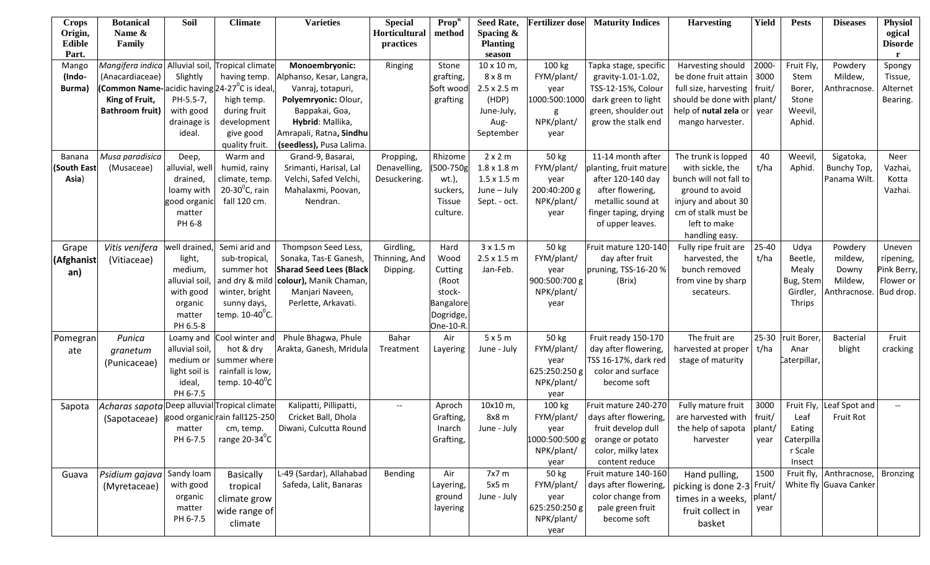| <b>Crops</b>      | <b>Botanical</b>                                              | Soil           | <b>Climate</b>                 | <b>Varieties</b>                      | <b>Special</b> | Prop <sup>n</sup> | <b>Seed Rate,</b>  | <b>Fertilizer dose</b> | <b>Maturity Indices</b> | <b>Harvesting</b>             | <b>Yield</b> | <b>Pests</b>  | <b>Diseases</b>         | <b>Physiol</b>           |
|-------------------|---------------------------------------------------------------|----------------|--------------------------------|---------------------------------------|----------------|-------------------|--------------------|------------------------|-------------------------|-------------------------------|--------------|---------------|-------------------------|--------------------------|
| Origin,           | Name &                                                        |                |                                |                                       | Horticultural  | method            | Spacing $\&$       |                        |                         |                               |              |               |                         | ogical                   |
| Edible            | Family                                                        |                |                                |                                       | practices      |                   | <b>Planting</b>    |                        |                         |                               |              |               |                         | <b>Disorde</b>           |
| Part.             |                                                               |                |                                |                                       |                |                   | season             |                        |                         |                               |              |               |                         |                          |
| Mango             | Mangifera indica Alluvial soil, Tropical climate              |                |                                | Monoembryonic:                        | Ringing        | Stone             | $10 \times 10$ m,  | 100 kg                 | Tapka stage, specific   | Harvesting should             | 2000-        | Fruit Fly,    | Powdery                 | Spongy                   |
| (Indo-            | (Anacardiaceae)                                               | Slightly       | having temp.                   | Alphanso, Kesar, Langra,              |                | grafting,         | 8x8m               | FYM/plant/             | gravity-1.01-1.02,      | be done fruit attain          | 3000         | Stem          | Mildew,                 | Tissue,                  |
| Burma)            | <b>Common Name-</b> acidic having $24-27^{\circ}$ C is ideal, |                |                                | Vanraj, totapuri,                     |                | Soft wood         | $2.5 \times 2.5$ m | year                   | TSS-12-15%, Colour      | full size, harvesting         | fruit/       | Borer,        | Anthracnose.            | Alternet                 |
|                   | King of Fruit,                                                | PH-5.5-7,      | high temp.                     | Polyemryonic: Olour,                  |                | grafting          | (HDP)              | 1000:500:1000          | dark green to light     | should be done with plant/    |              | Stone         |                         | Bearing.                 |
|                   | <b>Bathroom fruit)</b>                                        | with good      | during fruit                   | Bappakai, Goa,                        |                |                   | June-July,         | g                      | green, shoulder out     | help of nutal zela or         | year         | Weevil,       |                         |                          |
|                   |                                                               | drainage is    | development                    | Hybrid: Mallika,                      |                |                   | Aug-               | NPK/plant/             | grow the stalk end      | mango harvester.              |              | Aphid.        |                         |                          |
|                   |                                                               | ideal.         | give good                      | Amrapali, Ratna, Sindhu               |                |                   | September          | year                   |                         |                               |              |               |                         |                          |
|                   |                                                               |                | quality fruit.                 | (seedless), Pusa Lalima.              |                |                   |                    |                        |                         |                               |              |               |                         |                          |
| Banana            | Musa paradisica                                               | Deep,          | Warm and                       | Grand-9, Basarai,                     | Propping,      | Rhizome           | $2 \times 2$ m     | 50 kg                  | 11-14 month after       | The trunk is lopped           | 40           | Weevil,       | Sigatoka,               | Neer                     |
| <b>South East</b> | (Musaceae)                                                    | alluvial, well | humid, rainy                   | Srimanti, Harisal, Lal                | Denavelling,   | (500-750g         | $1.8 \times 1.8$ m | FYM/plant/             | planting, fruit mature  | with sickle, the              | t/ha         | Aphid.        | Bunchy Top,             | Vazhai,                  |
| Asia)             |                                                               | drained,       | climate, temp.                 | Velchi, Safed Velchi,                 | Desuckering.   | wt.),             | $1.5 \times 1.5$ m | year                   | after 120-140 day       | bunch will not fall to        |              |               | Panama Wilt.            | Kotta                    |
|                   |                                                               | loamy with     | 20-30 $^0$ C, rain             | Mahalaxmi, Poovan,                    |                | suckers,          | $June - July$      | 200:40:200 g           | after flowering,        | ground to avoid               |              |               |                         | Vazhai.                  |
|                   |                                                               | good organic   | fall 120 cm.                   | Nendran.                              |                | <b>Tissue</b>     | Sept. - oct.       | NPK/plant/             | metallic sound at       | injury and about 30           |              |               |                         |                          |
|                   |                                                               | matter         |                                |                                       |                | culture.          |                    | year                   | finger taping, drying   | cm of stalk must be           |              |               |                         |                          |
|                   |                                                               | PH 6-8         |                                |                                       |                |                   |                    |                        | of upper leaves.        | left to make                  |              |               |                         |                          |
|                   |                                                               |                |                                |                                       |                |                   |                    |                        |                         | handling easy.                |              |               |                         |                          |
| Grape             | Vitis venifera                                                | vell drained   | Semi arid and                  | Thompson Seed Less,                   | Girdling,      | Hard              | $3 \times 1.5$ m   | 50 kg                  | Fruit mature 120-140    | Fully ripe fruit are          | $25 - 40$    | Udya          | Powdery                 | Uneven                   |
| (Afghanist        | (Vitiaceae)                                                   | light,         | sub-tropical,                  | Sonaka, Tas-E Ganesh,                 | Thinning, And  | Wood              | $2.5 \times 1.5$ m | FYM/plant/             | day after fruit         | harvested, the                | t/ha         | Beetle,       | mildew,                 | ripening,                |
| an)               |                                                               | medium,        | summer hot                     | <b>Sharad Seed Lees (Black</b>        | Dipping.       | Cutting           | Jan-Feb.           | year                   | pruning, TSS-16-20 %    | bunch removed                 |              | Mealy         | Downy                   | Pink Berry,              |
|                   |                                                               | alluvial soil, |                                | and dry & mild colour), Manik Chaman, |                | (Root             |                    | 900:500:700 g          | (Brix)                  | from vine by sharp            |              | Bug, Stem     | Mildew,                 | Flower or                |
|                   |                                                               | with good      | winter, bright                 | Manjari Naveen,                       |                | stock-            |                    | NPK/plant/             |                         | secateurs.                    |              | Girdler,      | Anthracnose.            | Bud drop.                |
|                   |                                                               | organic        | sunny days,                    | Perlette, Arkavati.                   |                | Bangalore         |                    | year                   |                         |                               |              | <b>Thrips</b> |                         |                          |
|                   |                                                               | matter         | temp. 10-40 <sup>°</sup> C.    |                                       |                | Dogridge,         |                    |                        |                         |                               |              |               |                         |                          |
|                   |                                                               | PH 6.5-8       |                                |                                       |                | One-10-R.         |                    |                        |                         |                               |              |               |                         |                          |
| Pomegran          | Punica                                                        |                | Loamy and Cool winter and      | Phule Bhagwa, Phule                   | Bahar          | Air               | 5x5m               | 50 kg                  | Fruit ready 150-170     | The fruit are                 | 25-30        | iruit Borer   | Bacterial               | Fruit                    |
| ate               | granetum                                                      | alluvial soil, | hot & dry                      | Arakta, Ganesh, Mridula               | Treatment      | Layering          | June - July        | FYM/plant/             | day after flowering,    | harvested at proper           | t/ha         | Anar          | blight                  | cracking                 |
|                   | (Punicaceae)                                                  | medium or      | summer where                   |                                       |                |                   |                    | year                   | TSS 16-17%, dark red    | stage of maturity             |              | Caterpillar,  |                         |                          |
|                   |                                                               | light soil is  | rainfall is low,               |                                       |                |                   |                    | 625:250:250 g          | color and surface       |                               |              |               |                         |                          |
|                   |                                                               | ideal,         | temp. $10-40^{\circ}$ C        |                                       |                |                   |                    | NPK/plant/             | become soft             |                               |              |               |                         |                          |
|                   |                                                               | PH 6-7.5       |                                |                                       |                |                   |                    | year                   |                         |                               |              |               |                         |                          |
| Sapota            | Acharas sapota                                                |                | Deep alluvial Tropical climate | Kalipatti, Pillipatti,                | $- -$          | Aproch            | 10x10 m,           | 100 kg                 | Fruit mature 240-270    | Fully mature fruit            | 3000         | Fruit Fly,    | Leaf Spot and           | $\overline{\phantom{a}}$ |
|                   | (Sapotaceae)                                                  |                | good organic rain fall125-250  | Cricket Ball, Dhola                   |                | Grafting,         | 8x8 m              | FYM/plant/             | days after flowering,   | are harvested with            | fruit/       | Leaf          | Fruit Rot               |                          |
|                   |                                                               | matter         | cm, temp.                      | Diwani, Culcutta Round                |                | Inarch            | June - July        | year                   | fruit develop dull      | the help of sapota $ $ plant/ |              | Eating        |                         |                          |
|                   |                                                               | PH 6-7.5       | range $20-34$ <sup>0</sup> C   |                                       |                | Grafting,         |                    | 1000:500:500 g         | orange or potato        | harvester                     | year         | Caterpilla    |                         |                          |
|                   |                                                               |                |                                |                                       |                |                   |                    | NPK/plant/             | color, milky latex      |                               |              | r Scale       |                         |                          |
|                   |                                                               |                |                                |                                       |                |                   |                    | year                   | content reduce          |                               |              | Insect        |                         |                          |
| Guava             | Psidium gajava                                                | Sandy loam     | Basically                      | L-49 (Sardar), Allahabad              | Bending        | Air               | 7x7 m              | 50 kg                  | Fruit mature 140-160    | Hand pulling,                 | 1500         |               | Fruit fly, Anthracnose, | Bronzing                 |
|                   | (Myretaceae)                                                  | with good      | tropical                       | Safeda, Lalit, Banaras                |                | Layering,         | 5x5 m              | FYM/plant/             | days after flowering,   | picking is done 2-3 Fruit/    |              |               | White fly Guava Canker  |                          |
|                   |                                                               | organic        | climate grow                   |                                       |                | ground            | June - July        | year                   | color change from       | times in a weeks,             | plant/       |               |                         |                          |
|                   |                                                               | matter         | wide range of                  |                                       |                | layering          |                    | 625:250:250 g          | pale green fruit        | fruit collect in              | year         |               |                         |                          |
|                   |                                                               | PH 6-7.5       | climate                        |                                       |                |                   |                    | NPK/plant/             | become soft             | basket                        |              |               |                         |                          |
|                   |                                                               |                |                                |                                       |                |                   |                    | year                   |                         |                               |              |               |                         |                          |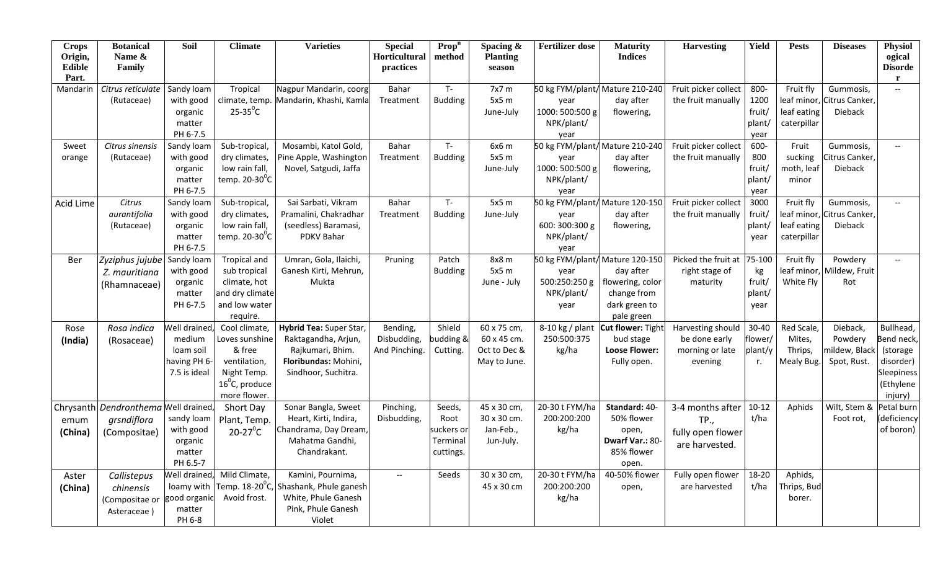| <b>Crops</b><br>Origin,<br>Edible<br>Part. | <b>Botanical</b><br>Name &<br>Family                                | Soil                                                                      | <b>Climate</b>                                                                                                      | <b>Varieties</b>                                                                                                                                             | <b>Special</b><br>Horticultural<br>practices | $Propn$<br>method                                     | Spacing &<br><b>Planting</b><br>season                     | <b>Fertilizer dose</b>                                                           | <b>Maturity</b><br><b>Indices</b>                                              | <b>Harvesting</b>                                                | <b>Yield</b>                             | <b>Pests</b>                                          | <b>Diseases</b>                                    | <b>Physiol</b><br>ogical<br><b>Disorde</b><br>$\mathbf{r}$                             |
|--------------------------------------------|---------------------------------------------------------------------|---------------------------------------------------------------------------|---------------------------------------------------------------------------------------------------------------------|--------------------------------------------------------------------------------------------------------------------------------------------------------------|----------------------------------------------|-------------------------------------------------------|------------------------------------------------------------|----------------------------------------------------------------------------------|--------------------------------------------------------------------------------|------------------------------------------------------------------|------------------------------------------|-------------------------------------------------------|----------------------------------------------------|----------------------------------------------------------------------------------------|
| Mandarin                                   | Citrus reticulate<br>(Rutaceae)                                     | Sandy loam<br>with good<br>organic<br>matter<br>PH 6-7.5                  | Tropical<br>climate, temp.<br>$25-35$ <sup>°</sup> C                                                                | Nagpur Mandarin, coorg<br>Mandarin, Khashi, Kamla                                                                                                            | Bahar<br>Treatment                           | $T -$<br><b>Budding</b>                               | 7x7 m<br>5x5 m<br>June-July                                | 50 kg FYM/plant/ Mature 210-240<br>year<br>1000: 500:500 g<br>NPK/plant/<br>year | day after<br>flowering,                                                        | Fruit picker collect<br>the fruit manually                       | 800-<br>1200<br>fruit/<br>plant/<br>year | Fruit fly<br>leaf minor<br>leaf eating<br>caterpillar | Gummosis,<br>Citrus Canker,<br>Dieback             | --                                                                                     |
| Sweet<br>orange                            | Citrus sinensis<br>(Rutaceae)                                       | Sandy loam<br>with good<br>organic<br>matter<br>PH 6-7.5                  | Sub-tropical,<br>dry climates,<br>low rain fall,<br>temp. $20-30^{\circ}$ C                                         | Mosambi, Katol Gold,<br>Pine Apple, Washington<br>Novel, Satgudi, Jaffa                                                                                      | Bahar<br>Treatment                           | $T -$<br><b>Budding</b>                               | 6x6 m<br>5x5m<br>June-July                                 | 50 kg FYM/plant/ Mature 210-240<br>year<br>1000: 500:500 g<br>NPK/plant/<br>year | day after<br>flowering,                                                        | Fruit picker collect<br>the fruit manually                       | 600-<br>800<br>fruit/<br>plant/<br>year  | Fruit<br>sucking<br>moth, leaf<br>minor               | Gummosis,<br>Citrus Canker,<br>Dieback             | $\overline{\phantom{a}}$                                                               |
| Acid Lime                                  | Citrus<br>aurantifolia<br>(Rutaceae)                                | Sandy loam<br>with good<br>organic<br>matter<br>PH 6-7.5                  | Sub-tropical,<br>dry climates,<br>low rain fall,<br>temp. $20-30^{\circ}$ C                                         | Sai Sarbati, Vikram<br>Pramalini, Chakradhar<br>(seedless) Baramasi,<br>PDKV Bahar                                                                           | Bahar<br>Treatment                           | $T-$<br><b>Budding</b>                                | 5x5 m<br>June-July                                         | 50 kg FYM/plant/ Mature 120-150<br>year<br>600: 300:300 g<br>NPK/plant/<br>year  | day after<br>flowering,                                                        | Fruit picker collect<br>the fruit manually                       | 3000<br>fruit/<br>plant/<br>year         | Fruit fly<br>leaf minor<br>leaf eating<br>caterpillar | Gummosis,<br>Citrus Canker,<br>Dieback             |                                                                                        |
| Ber                                        | Zyziphus jujube<br>Z. mauritiana<br>(Rhamnaceae)                    | Sandy loam<br>with good<br>organic<br>matter<br>PH 6-7.5                  | <b>Tropical and</b><br>sub tropical<br>climate, hot<br>and dry climate<br>and low water<br>require.                 | Umran, Gola, Ilaichi,<br>Ganesh Kirti, Mehrun,<br>Mukta                                                                                                      | Pruning                                      | Patch<br><b>Budding</b>                               | 8x8 m<br>5x5m<br>June - July                               | 50 kg FYM/plant/ Mature 120-150<br>year<br>500:250:250 g<br>NPK/plant/<br>year   | day after<br>flowering, color<br>change from<br>dark green to<br>pale green    | Picked the fruit at<br>right stage of<br>maturity                | 75-100<br>kg<br>fruit/<br>plant/<br>year | Fruit fly<br>White Fly                                | Powdery<br>leaf minor, Mildew, Fruit<br>Rot        |                                                                                        |
| Rose<br>(India)                            | Rosa indica<br>(Rosaceae)                                           | <b>Nell drained</b><br>medium<br>loam soil<br>having PH 6<br>7.5 is ideal | Cool climate,<br>Loves sunshine<br>& free<br>ventilation,<br>Night Temp.<br>$16^{\circ}$ C, produce<br>more flower. | Hybrid Tea: Super Star,<br>Raktagandha, Arjun,<br>Rajkumari, Bhim.<br>Floribundas: Mohini,<br>Sindhoor, Suchitra.                                            | Bending,<br>Disbudding,<br>And Pinching.     | Shield<br>budding &<br>Cutting.                       | 60 x 75 cm,<br>60 x 45 cm.<br>Oct to Dec &<br>May to June. | 8-10 $kg$ / plant<br>250:500:375<br>kg/ha                                        | Cut flower: Tight<br>bud stage<br><b>Loose Flower:</b><br>Fully open.          | Harvesting should<br>be done early<br>morning or late<br>evening | $30 - 40$<br>flower/<br>plant/y<br>r.    | Red Scale<br>Mites,<br>Thrips,<br>Mealy Bug.          | Dieback<br>Powdery<br>mildew, Black<br>Spot, Rust. | Bullhead,<br>Bend neck,<br>(storage<br>disorder)<br>Sleepiness<br>(Ethylene<br>injury) |
| emum<br>(China)                            | Chrysanth Dendronthema Well drained,<br>grsndiflora<br>(Compositae) | sandy loam<br>with good<br>organic<br>matter<br>PH 6.5-7                  | Short Day<br>Plant, Temp.<br>$20-27^{\circ}C$                                                                       | Sonar Bangla, Sweet<br>Heart, Kirti, Indira,<br>Chandrama, Day Dream,<br>Mahatma Gandhi,<br>Chandrakant.                                                     | Pinching,<br>Disbudding,                     | Seeds,<br>Root<br>suckers or<br>Terminal<br>cuttings. | 45 x 30 cm,<br>30 x 30 cm.<br>Jan-Feb.,<br>Jun-July.       | 20-30 t FYM/ha<br>200:200:200<br>kg/ha                                           | Standard: 40-<br>50% flower<br>open,<br>Dwarf Var.: 80-<br>85% flower<br>open. | 3-4 months after<br>TP.,<br>fully open flower<br>are harvested.  | $10 - 12$<br>t/ha                        | Aphids                                                | Wilt, Stem &<br>Foot rot,                          | Petal burn<br>(deficiency<br>of boron)                                                 |
| Aster<br>(China)                           | Callistepus<br>chinensis<br>(Compositae or<br>Asteraceae)           | good organic<br>matter<br>PH 6-8                                          | Well drained, Mild Climate,<br>Avoid frost.                                                                         | Kamini, Pournima,<br>loamy with $\text{Temp. } 18\text{-}20^{\circ}\text{C}$ , Shashank, Phule ganesh<br>White, Phule Ganesh<br>Pink, Phule Ganesh<br>Violet | $\overline{\phantom{a}}$                     | Seeds                                                 | 30 x 30 cm,<br>45 x 30 cm                                  | 20-30 t FYM/ha<br>200:200:200<br>kg/ha                                           | 40-50% flower<br>open,                                                         | Fully open flower<br>are harvested                               | 18-20<br>t/ha                            | Aphids,<br>Thrips, Bud<br>borer.                      |                                                    |                                                                                        |